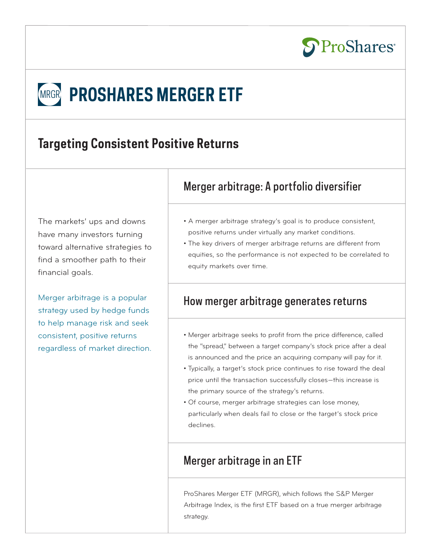

# **MRGR PROSHARES MERGER ETF**

## **Targeting Consistent Positive Returns**

The markets' ups and downs have many investors turning toward alternative strategies to find a smoother path to their financial goals.

Merger arbitrage is a popular strategy used by hedge funds to help manage risk and seek consistent, positive returns regardless of market direction.

## Merger arbitrage: A portfolio diversifier

- A merger arbitrage strategy's goal is to produce consistent, positive returns under virtually any market conditions.
- The key drivers of merger arbitrage returns are different from equities, so the performance is not expected to be correlated to equity markets over time.

## How merger arbitrage generates returns

- Merger arbitrage seeks to profit from the price difference, called the "spread," between a target company's stock price after a deal is announced and the price an acquiring company will pay for it.
- Typically, a target's stock price continues to rise toward the deal price until the transaction successfully closes—this increase is the primary source of the strategy's returns.
- Of course, merger arbitrage strategies can lose money, particularly when deals fail to close or the target's stock price declines.

## Merger arbitrage in an ETF

ProShares Merger ETF (MRGR), which follows the S&P Merger Arbitrage Index, is the first ETF based on a true merger arbitrage strategy.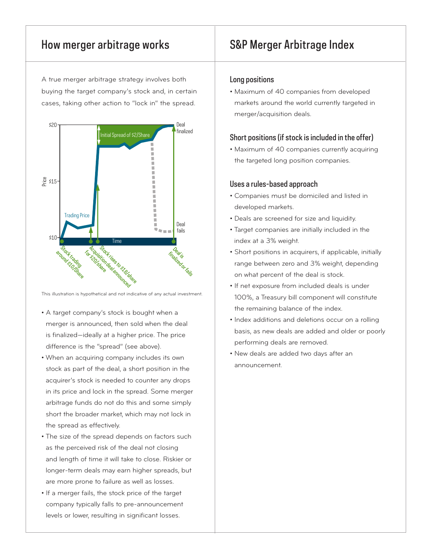A true merger arbitrage strategy involves both buying the target company's stock and, in certain cases, taking other action to "lock in" the spread.



This illustration is hypothetical and not indicative of any actual investment.

- A target company's stock is bought when a merger is announced, then sold when the deal is finalized—ideally at a higher price. The price difference is the "spread" (see above).
- When an acquiring company includes its own stock as part of the deal, a short position in the acquirer's stock is needed to counter any drops in its price and lock in the spread. Some merger arbitrage funds do not do this and some simply short the broader market, which may not lock in the spread as effectively.
- The size of the spread depends on factors such as the perceived risk of the deal not closing and length of time it will take to close. Riskier or longer-term deals may earn higher spreads, but are more prone to failure as well as losses.
- If a merger fails, the stock price of the target company typically falls to pre-announcement levels or lower, resulting in significant losses.

## How merger arbitrage works S&P Merger Arbitrage Index

#### Long positions

• Maximum of 40 companies from developed markets around the world currently targeted in merger/acquisition deals.

#### Short positions (if stock is included in the offer)

• Maximum of 40 companies currently acquiring the targeted long position companies.

#### Uses a rules-based approach

- Companies must be domiciled and listed in developed markets.
- Deals are screened for size and liquidity.
- Target companies are initially included in the index at a 3% weight.
- Short positions in acquirers, if applicable, initially range between zero and 3% weight, depending on what percent of the deal is stock.
- If net exposure from included deals is under 100%, a Treasury bill component will constitute the remaining balance of the index.
- Index additions and deletions occur on a rolling basis, as new deals are added and older or poorly performing deals are removed.
- New deals are added two days after an announcement.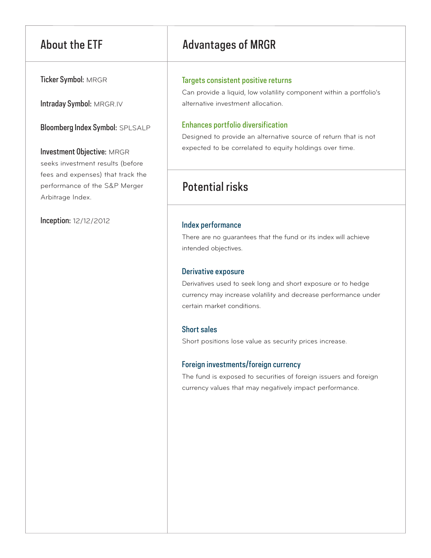Ticker Symbol: MRGR

Intraday Symbol: MRGR.IV

Bloomberg Index Symbol: SPLSALP

Investment Objective: MRGR seeks investment results (before fees and expenses) that track the performance of the S&P Merger Arbitrage Index.

Inception: 12/12/2012

## About the ETF Advantages of MRGR

### Targets consistent positive returns

Can provide a liquid, low volatility component within a portfolio's alternative investment allocation.

## Enhances portfolio diversification

Designed to provide an alternative source of return that is not expected to be correlated to equity holdings over time.

## Potential risks

## Index performance

There are no guarantees that the fund or its index will achieve intended objectives.

## Derivative exposure

Derivatives used to seek long and short exposure or to hedge currency may increase volatility and decrease performance under certain market conditions.

## Short sales

Short positions lose value as security prices increase.

## Foreign investments/foreign currency

The fund is exposed to securities of foreign issuers and foreign currency values that may negatively impact performance.